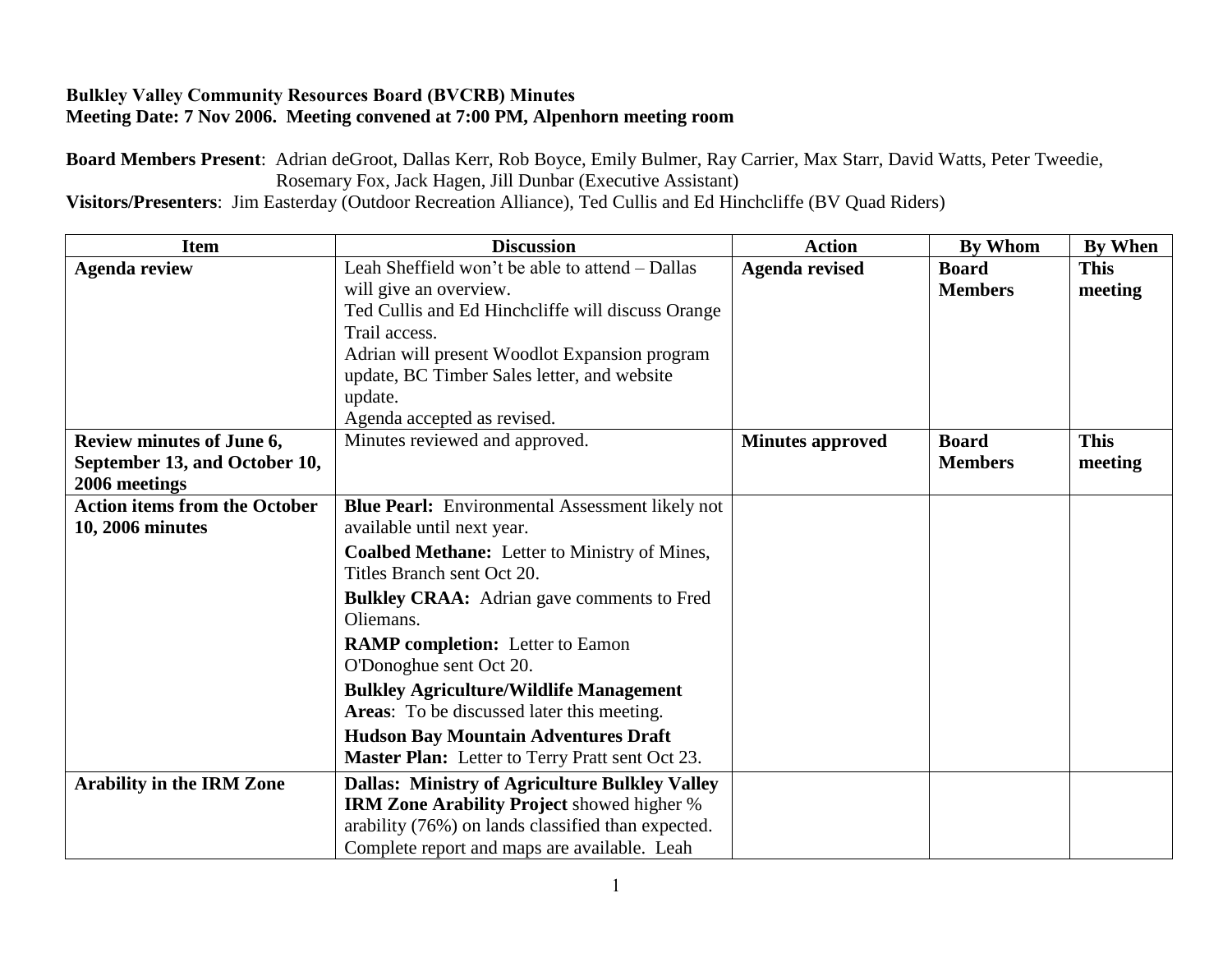## **Bulkley Valley Community Resources Board (BVCRB) Minutes Meeting Date: 7 Nov 2006. Meeting convened at 7:00 PM, Alpenhorn meeting room**

**Board Members Present**: Adrian deGroot, Dallas Kerr, Rob Boyce, Emily Bulmer, Ray Carrier, Max Starr, David Watts, Peter Tweedie, Rosemary Fox, Jack Hagen, Jill Dunbar (Executive Assistant)

**Visitors/Presenters**: Jim Easterday (Outdoor Recreation Alliance), Ted Cullis and Ed Hinchcliffe (BV Quad Riders)

| <b>Item</b>                          | <b>Discussion</b>                                      | <b>Action</b>           | <b>By Whom</b> | By When     |
|--------------------------------------|--------------------------------------------------------|-------------------------|----------------|-------------|
| <b>Agenda review</b>                 | Leah Sheffield won't be able to attend - Dallas        | <b>Agenda revised</b>   | <b>Board</b>   | <b>This</b> |
|                                      | will give an overview.                                 |                         | <b>Members</b> | meeting     |
|                                      | Ted Cullis and Ed Hinchcliffe will discuss Orange      |                         |                |             |
|                                      | Trail access.                                          |                         |                |             |
|                                      | Adrian will present Woodlot Expansion program          |                         |                |             |
|                                      | update, BC Timber Sales letter, and website            |                         |                |             |
|                                      | update.                                                |                         |                |             |
|                                      | Agenda accepted as revised.                            |                         |                |             |
| Review minutes of June 6,            | Minutes reviewed and approved.                         | <b>Minutes approved</b> | <b>Board</b>   | <b>This</b> |
| September 13, and October 10,        |                                                        |                         | <b>Members</b> | meeting     |
| 2006 meetings                        |                                                        |                         |                |             |
| <b>Action items from the October</b> | <b>Blue Pearl:</b> Environmental Assessment likely not |                         |                |             |
| 10, 2006 minutes                     | available until next year.                             |                         |                |             |
|                                      | Coalbed Methane: Letter to Ministry of Mines,          |                         |                |             |
|                                      | Titles Branch sent Oct 20.                             |                         |                |             |
|                                      | <b>Bulkley CRAA:</b> Adrian gave comments to Fred      |                         |                |             |
|                                      | Oliemans.                                              |                         |                |             |
|                                      | <b>RAMP</b> completion: Letter to Eamon                |                         |                |             |
|                                      | O'Donoghue sent Oct 20.                                |                         |                |             |
|                                      | <b>Bulkley Agriculture/Wildlife Management</b>         |                         |                |             |
|                                      | Areas: To be discussed later this meeting.             |                         |                |             |
|                                      | <b>Hudson Bay Mountain Adventures Draft</b>            |                         |                |             |
|                                      | Master Plan: Letter to Terry Pratt sent Oct 23.        |                         |                |             |
| <b>Arability in the IRM Zone</b>     | <b>Dallas: Ministry of Agriculture Bulkley Valley</b>  |                         |                |             |
|                                      | <b>IRM Zone Arability Project showed higher %</b>      |                         |                |             |
|                                      | arability (76%) on lands classified than expected.     |                         |                |             |
|                                      | Complete report and maps are available. Leah           |                         |                |             |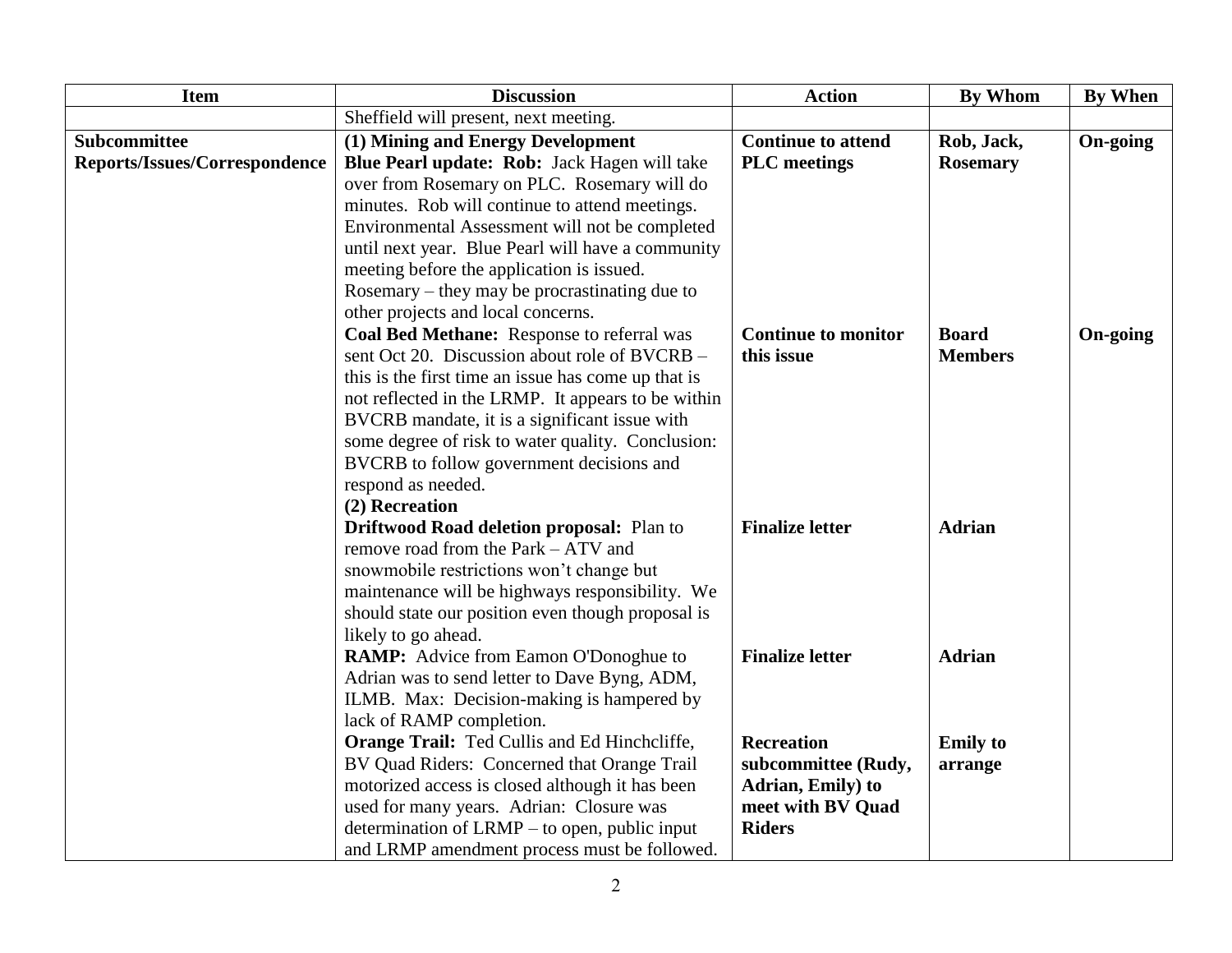| <b>Item</b>                   | <b>Discussion</b>                                   | <b>Action</b>              | <b>By Whom</b>  | By When         |
|-------------------------------|-----------------------------------------------------|----------------------------|-----------------|-----------------|
|                               | Sheffield will present, next meeting.               |                            |                 |                 |
| <b>Subcommittee</b>           | (1) Mining and Energy Development                   | <b>Continue to attend</b>  | Rob, Jack,      | On-going        |
| Reports/Issues/Correspondence | Blue Pearl update: Rob: Jack Hagen will take        | <b>PLC</b> meetings        | <b>Rosemary</b> |                 |
|                               | over from Rosemary on PLC. Rosemary will do         |                            |                 |                 |
|                               | minutes. Rob will continue to attend meetings.      |                            |                 |                 |
|                               | Environmental Assessment will not be completed      |                            |                 |                 |
|                               | until next year. Blue Pearl will have a community   |                            |                 |                 |
|                               | meeting before the application is issued.           |                            |                 |                 |
|                               | Rosemary – they may be procrastinating due to       |                            |                 |                 |
|                               | other projects and local concerns.                  |                            |                 |                 |
|                               | Coal Bed Methane: Response to referral was          | <b>Continue to monitor</b> | <b>Board</b>    | <b>On-going</b> |
|                               | sent Oct 20. Discussion about role of BVCRB -       | this issue                 | <b>Members</b>  |                 |
|                               | this is the first time an issue has come up that is |                            |                 |                 |
|                               | not reflected in the LRMP. It appears to be within  |                            |                 |                 |
|                               | BVCRB mandate, it is a significant issue with       |                            |                 |                 |
|                               | some degree of risk to water quality. Conclusion:   |                            |                 |                 |
|                               | BVCRB to follow government decisions and            |                            |                 |                 |
|                               | respond as needed.                                  |                            |                 |                 |
|                               | (2) Recreation                                      |                            |                 |                 |
|                               | <b>Driftwood Road deletion proposal: Plan to</b>    | <b>Finalize letter</b>     | <b>Adrian</b>   |                 |
|                               | remove road from the Park - ATV and                 |                            |                 |                 |
|                               | snowmobile restrictions won't change but            |                            |                 |                 |
|                               | maintenance will be highways responsibility. We     |                            |                 |                 |
|                               | should state our position even though proposal is   |                            |                 |                 |
|                               | likely to go ahead.                                 |                            |                 |                 |
|                               | <b>RAMP:</b> Advice from Eamon O'Donoghue to        | <b>Finalize letter</b>     | <b>Adrian</b>   |                 |
|                               | Adrian was to send letter to Dave Byng, ADM,        |                            |                 |                 |
|                               | ILMB. Max: Decision-making is hampered by           |                            |                 |                 |
|                               | lack of RAMP completion.                            |                            |                 |                 |
|                               | Orange Trail: Ted Cullis and Ed Hinchcliffe,        | <b>Recreation</b>          | <b>Emily</b> to |                 |
|                               | BV Quad Riders: Concerned that Orange Trail         | subcommittee (Rudy,        | arrange         |                 |
|                               | motorized access is closed although it has been     | Adrian, Emily) to          |                 |                 |
|                               | used for many years. Adrian: Closure was            | meet with BV Quad          |                 |                 |
|                               | determination of LRMP – to open, public input       | <b>Riders</b>              |                 |                 |
|                               | and LRMP amendment process must be followed.        |                            |                 |                 |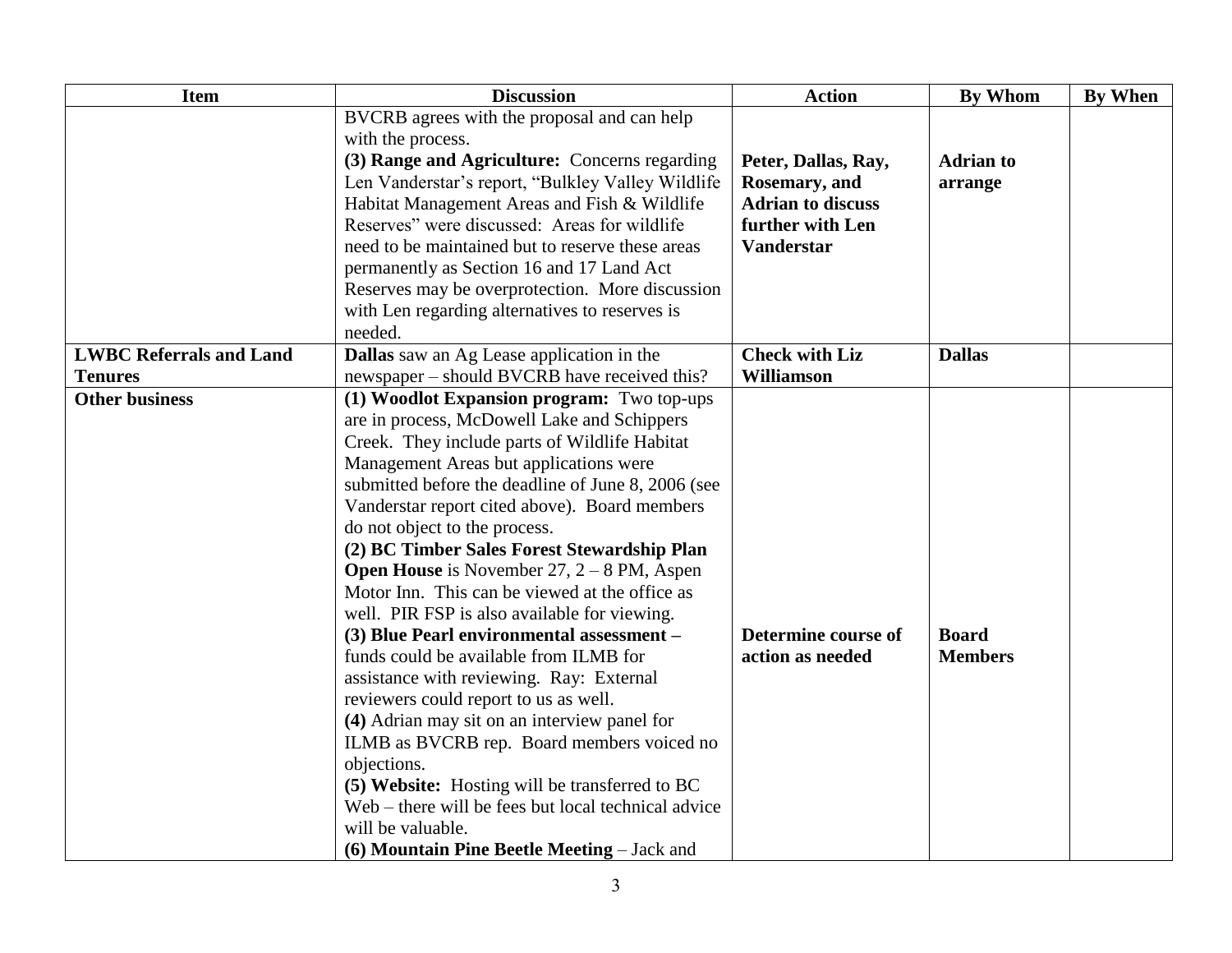| <b>Item</b>                    | <b>Discussion</b>                                   | <b>Action</b>            | <b>By Whom</b>   | <b>By When</b> |
|--------------------------------|-----------------------------------------------------|--------------------------|------------------|----------------|
|                                | BVCRB agrees with the proposal and can help         |                          |                  |                |
|                                | with the process.                                   |                          |                  |                |
|                                | (3) Range and Agriculture: Concerns regarding       | Peter, Dallas, Ray,      | <b>Adrian to</b> |                |
|                                | Len Vanderstar's report, "Bulkley Valley Wildlife   | Rosemary, and            | arrange          |                |
|                                | Habitat Management Areas and Fish & Wildlife        | <b>Adrian to discuss</b> |                  |                |
|                                | Reserves" were discussed: Areas for wildlife        | further with Len         |                  |                |
|                                | need to be maintained but to reserve these areas    | <b>Vanderstar</b>        |                  |                |
|                                | permanently as Section 16 and 17 Land Act           |                          |                  |                |
|                                | Reserves may be overprotection. More discussion     |                          |                  |                |
|                                | with Len regarding alternatives to reserves is      |                          |                  |                |
|                                | needed.                                             |                          |                  |                |
| <b>LWBC Referrals and Land</b> | Dallas saw an Ag Lease application in the           | <b>Check with Liz</b>    | <b>Dallas</b>    |                |
| <b>Tenures</b>                 | newspaper – should BVCRB have received this?        | <b>Williamson</b>        |                  |                |
| <b>Other business</b>          | (1) Woodlot Expansion program: Two top-ups          |                          |                  |                |
|                                | are in process, McDowell Lake and Schippers         |                          |                  |                |
|                                | Creek. They include parts of Wildlife Habitat       |                          |                  |                |
|                                | Management Areas but applications were              |                          |                  |                |
|                                | submitted before the deadline of June 8, 2006 (see  |                          |                  |                |
|                                | Vanderstar report cited above). Board members       |                          |                  |                |
|                                | do not object to the process.                       |                          |                  |                |
|                                | (2) BC Timber Sales Forest Stewardship Plan         |                          |                  |                |
|                                | <b>Open House</b> is November 27, $2 - 8$ PM, Aspen |                          |                  |                |
|                                | Motor Inn. This can be viewed at the office as      |                          |                  |                |
|                                | well. PIR FSP is also available for viewing.        |                          |                  |                |
|                                | (3) Blue Pearl environmental assessment -           | Determine course of      | <b>Board</b>     |                |
|                                | funds could be available from ILMB for              | action as needed         | <b>Members</b>   |                |
|                                | assistance with reviewing. Ray: External            |                          |                  |                |
|                                | reviewers could report to us as well.               |                          |                  |                |
|                                | (4) Adrian may sit on an interview panel for        |                          |                  |                |
|                                | ILMB as BVCRB rep. Board members voiced no          |                          |                  |                |
|                                | objections.                                         |                          |                  |                |
|                                | (5) Website: Hosting will be transferred to BC      |                          |                  |                |
|                                | Web – there will be fees but local technical advice |                          |                  |                |
|                                | will be valuable.                                   |                          |                  |                |
|                                | (6) Mountain Pine Beetle Meeting – Jack and         |                          |                  |                |